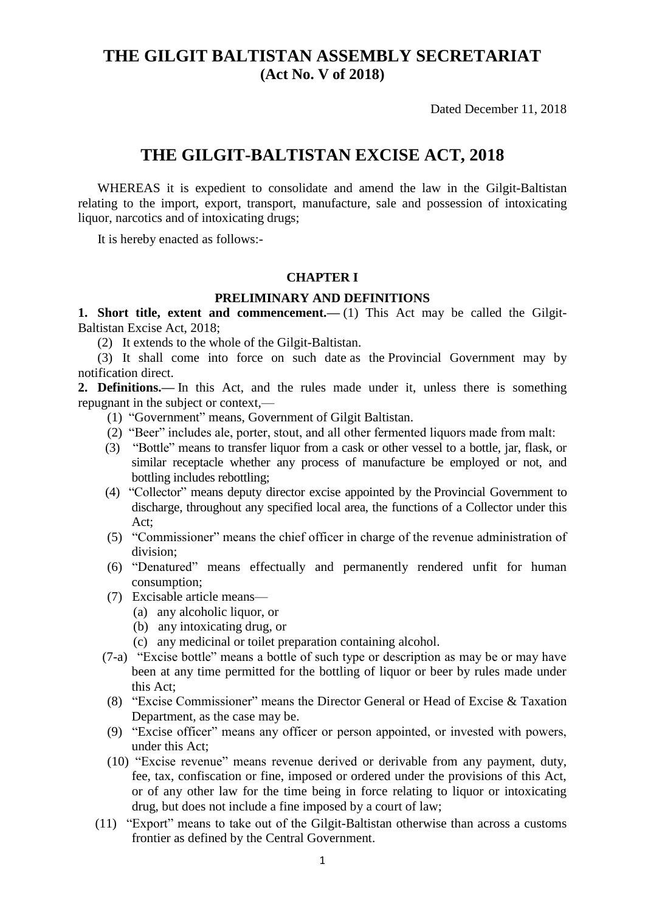# **THE GILGIT BALTISTAN ASSEMBLY SECRETARIAT (Act No. V of 2018)**

Dated December 11, 2018

## **THE GILGIT-BALTISTAN EXCISE ACT, 2018**

 WHEREAS it is expedient to consolidate and amend the law in the Gilgit-Baltistan relating to the import, export, transport, manufacture, sale and possession of intoxicating liquor, narcotics and of intoxicating drugs;

It is hereby enacted as follows:-

#### **CHAPTER I**

#### **PRELIMINARY AND DEFINITIONS**

**1. Short title, extent and commencement.**—(1) This Act may be called the Gilgit-Baltistan Excise Act, 2018;

(2) It extends to the whole of the Gilgit-Baltistan.

 (3) It shall come into force on such date as the Provincial Government may by notification direct.

**2. Definitions.—** In this Act, and the rules made under it, unless there is something repugnant in the subject or context,—

- (1) "Government" means, Government of Gilgit Baltistan.
- (2) "Beer" includes ale, porter, stout, and all other fermented liquors made from malt:
- (3) "Bottle" means to transfer liquor from a cask or other vessel to a bottle, jar, flask, or similar receptacle whether any process of manufacture be employed or not, and bottling includes rebottling;
- (4) "Collector" means deputy director excise appointed by the Provincial Government to discharge, throughout any specified local area, the functions of a Collector under this Act;
- (5) "Commissioner" means the chief officer in charge of the revenue administration of division;
- (6) "Denatured" means effectually and permanently rendered unfit for human consumption;
- (7) Excisable article means—
	- (a) any alcoholic liquor, or
	- (b) any intoxicating drug, or
	- (c) any medicinal or toilet preparation containing alcohol.
- (7-a) "Excise bottle" means a bottle of such type or description as may be or may have been at any time permitted for the bottling of liquor or beer by rules made under this Act;
- (8) "Excise Commissioner" means the Director General or Head of Excise & Taxation Department, as the case may be.
- (9) "Excise officer" means any officer or person appointed, or invested with powers, under this Act;
- (10) "Excise revenue" means revenue derived or derivable from any payment, duty, fee, tax, confiscation or fine, imposed or ordered under the provisions of this Act, or of any other law for the time being in force relating to liquor or intoxicating drug, but does not include a fine imposed by a court of law;
- (11) "Export" means to take out of the Gilgit-Baltistan otherwise than across a customs frontier as defined by the Central Government.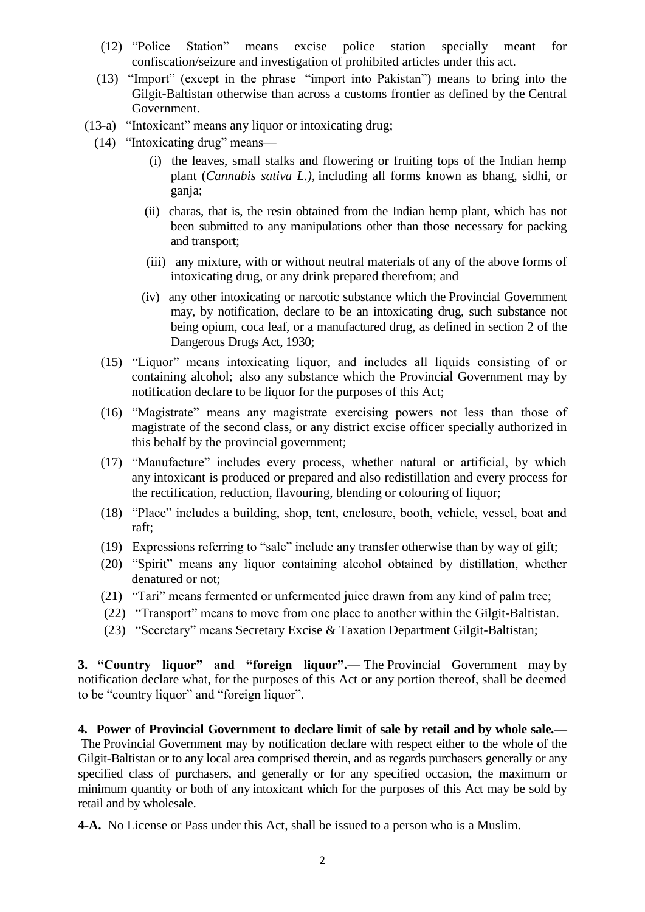- (12) "Police Station" means excise police station specially meant for confiscation/seizure and investigation of prohibited articles under this act.
- (13) "Import" (except in the phrase "import into Pakistan") means to bring into the Gilgit-Baltistan otherwise than across a customs frontier as defined by the Central Government.
- (13-a) "Intoxicant" means any liquor or intoxicating drug;
- (14) "Intoxicating drug" means—
	- (i) the leaves, small stalks and flowering or fruiting tops of the Indian hemp plant (*Cannabis sativa L.),* including all forms known as bhang, sidhi, or ganja;
	- (ii) charas, that is, the resin obtained from the Indian hemp plant, which has not been submitted to any manipulations other than those necessary for packing and transport;
	- (iii) any mixture, with or without neutral materials of any of the above forms of intoxicating drug, or any drink prepared therefrom; and
	- (iv) any other intoxicating or narcotic substance which the Provincial Government may, by notification, declare to be an intoxicating drug, such substance not being opium, coca leaf, or a manufactured drug, as defined in section 2 of the Dangerous Drugs Act, 1930;
	- (15) "Liquor" means intoxicating liquor, and includes all liquids consisting of or containing alcohol; also any substance which the Provincial Government may by notification declare to be liquor for the purposes of this Act;
	- (16) "Magistrate" means any magistrate exercising powers not less than those of magistrate of the second class, or any district excise officer specially authorized in this behalf by the provincial government;
	- (17) "Manufacture" includes every process, whether natural or artificial, by which any intoxicant is produced or prepared and also redistillation and every process for the rectification, reduction, flavouring, blending or colouring of liquor;
	- (18) "Place" includes a building, shop, tent, enclosure, booth, vehicle, vessel, boat and raft;
	- (19) Expressions referring to "sale" include any transfer otherwise than by way of gift;
	- (20) "Spirit" means any liquor containing alcohol obtained by distillation, whether denatured or not;
	- (21) "Tari" means fermented or unfermented juice drawn from any kind of palm tree;
	- (22) "Transport" means to move from one place to another within the Gilgit-Baltistan.
	- (23) "Secretary" means Secretary Excise & Taxation Department Gilgit-Baltistan;

**3. "Country liquor" and "foreign liquor".—** The Provincial Government may by notification declare what, for the purposes of this Act or any portion thereof, shall be deemed to be "country liquor" and "foreign liquor".

**4. Power of Provincial Government to declare limit of sale by retail and by whole sale.—** The Provincial Government may by notification declare with respect either to the whole of the Gilgit-Baltistan or to any local area comprised therein, and as regards purchasers generally or any specified class of purchasers, and generally or for any specified occasion, the maximum or minimum quantity or both of any intoxicant which for the purposes of this Act may be sold by retail and by wholesale.

**4-A.** No License or Pass under this Act, shall be issued to a person who is a Muslim.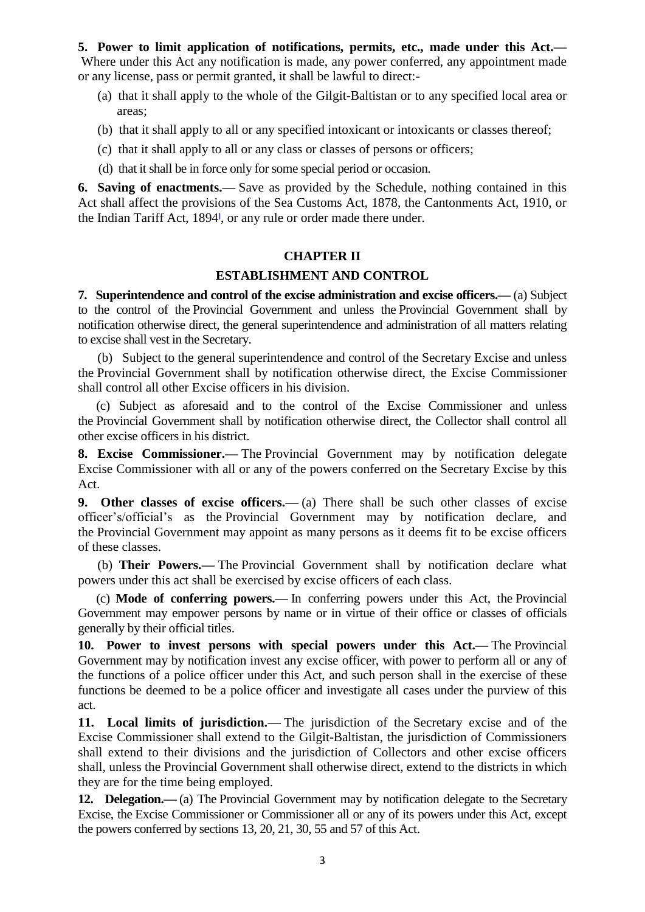**5. Power to limit application of notifications, permits, etc., made under this Act.—** Where under this Act any notification is made, any power conferred, any appointment made or any license, pass or permit granted, it shall be lawful to direct:-

- (a) that it shall apply to the whole of the Gilgit-Baltistan or to any specified local area or areas;
- (b) that it shall apply to all or any specified intoxicant or intoxicants or classes thereof;
- (c) that it shall apply to all or any class or classes of persons or officers;
- (d) that it shall be in force only for some special period or occasion.

**6. Saving of enactments.—** Save as provided by the Schedule, nothing contained in this Act shall affect the provisions of the Sea Customs Act, 1878, the Cantonments Act, 1910, or the Indian Tariff Act, 189[4](http://punjablaws.gov.pk/laws/24.html#_ftn34)**]** , or any rule or order made there under.

#### **CHAPTER II**

#### **ESTABLISHMENT AND CONTROL**

**7. Superintendence and control of the excise administration and excise officers.—** (a) Subject to the control of the Provincial Government and unless the Provincial Government shall by notification otherwise direct, the general superintendence and administration of all matters relating to excise shall vest in the Secretary.

 (b) Subject to the general superintendence and control of the Secretary Excise and unless the Provincial Government shall by notification otherwise direct, the Excise Commissioner shall control all other Excise officers in his division.

 (c) Subject as aforesaid and to the control of the Excise Commissioner and unless the Provincial Government shall by notification otherwise direct, the Collector shall control all other excise officers in his district.

**8. Excise Commissioner.—** The Provincial Government may by notification delegate Excise Commissioner with all or any of the powers conferred on the Secretary Excise by this Act.

**9. Other classes of excise officers.—** (a) There shall be such other classes of excise officer's/official's as the Provincial Government may by notification declare, and the Provincial Government may appoint as many persons as it deems fit to be excise officers of these classes.

 (b) **Their Powers.—** The Provincial Government shall by notification declare what powers under this act shall be exercised by excise officers of each class.

 (c) **Mode of conferring powers.—** In conferring powers under this Act, the Provincial Government may empower persons by name or in virtue of their office or classes of officials generally by their official titles.

**10. Power to invest persons with special powers under this Act.—** The Provincial Government may by notification invest any excise officer, with power to perform all or any of the functions of a police officer under this Act, and such person shall in the exercise of these functions be deemed to be a police officer and investigate all cases under the purview of this act.

**11. Local limits of jurisdiction.—** The jurisdiction of the Secretary excise and of the Excise Commissioner shall extend to the Gilgit-Baltistan, the jurisdiction of Commissioners shall extend to their divisions and the jurisdiction of Collectors and other excise officers shall, unless the Provincial Government shall otherwise direct, extend to the districts in which they are for the time being employed.

**12. Delegation.—** (a) The Provincial Government may by notification delegate to the Secretary Excise, the Excise Commissioner or Commissioner all or any of its powers under this Act, except the powers conferred by sections 13, 20, 21, 30, 55 and 57 of this Act.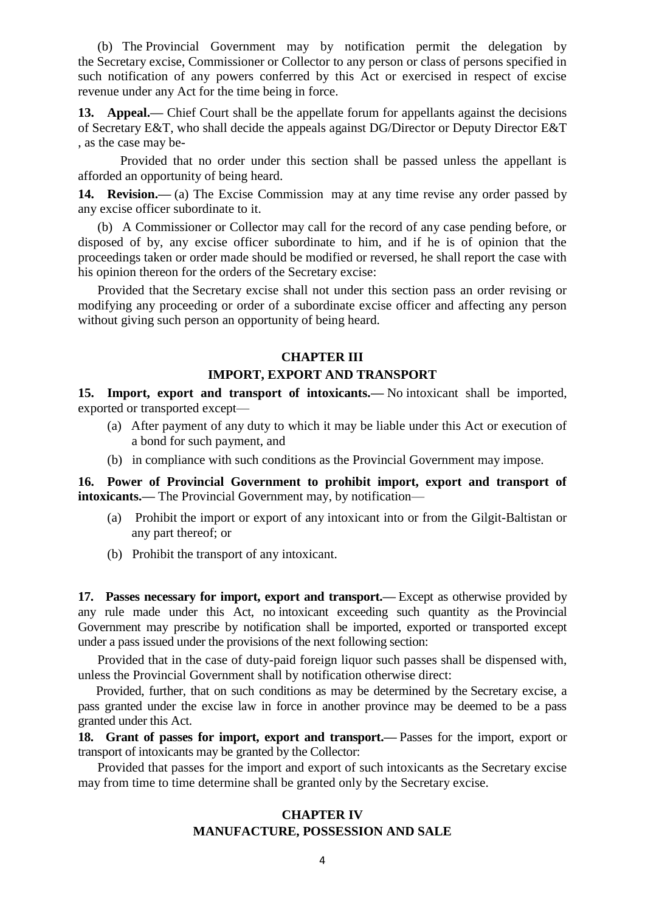(b) The Provincial Government may by notification permit the delegation by the Secretary excise, Commissioner or Collector to any person or class of persons specified in such notification of any powers conferred by this Act or exercised in respect of excise revenue under any Act for the time being in force.

13. Appeal.— Chief Court shall be the appellate forum for appellants against the decisions of Secretary E&T, who shall decide the appeals against DG/Director or Deputy Director E&T , as the case may be-

Provided that no order under this section shall be passed unless the appellant is afforded an opportunity of being heard.

**14. Revision.—** (a) The Excise Commission may at any time revise any order passed by any excise officer subordinate to it.

 (b) A Commissioner or Collector may call for the record of any case pending before, or disposed of by, any excise officer subordinate to him, and if he is of opinion that the proceedings taken or order made should be modified or reversed, he shall report the case with his opinion thereon for the orders of the Secretary excise:

 Provided that the Secretary excise shall not under this section pass an order revising or modifying any proceeding or order of a subordinate excise officer and affecting any person without giving such person an opportunity of being heard.

#### **CHAPTER III**

#### **IMPORT, EXPORT AND TRANSPORT**

**15. Import, export and transport of intoxicants.—** No intoxicant shall be imported, exported or transported except—

- (a) After payment of any duty to which it may be liable under this Act or execution of a bond for such payment, and
- (b) in compliance with such conditions as the Provincial Government may impose.

**16. Power of Provincial Government to prohibit import, export and transport of intoxicants.—** The Provincial Government may, by notification—

- (a) Prohibit the import or export of any intoxicant into or from the Gilgit-Baltistan or any part thereof; or
- (b) Prohibit the transport of any intoxicant.

**17. Passes necessary for import, export and transport.—** Except as otherwise provided by any rule made under this Act, no intoxicant exceeding such quantity as the Provincial Government may prescribe by notification shall be imported, exported or transported except under a pass issued under the provisions of the next following section:

 Provided that in the case of duty-paid foreign liquor such passes shall be dispensed with, unless the Provincial Government shall by notification otherwise direct:

 Provided, further, that on such conditions as may be determined by the Secretary excise, a pass granted under the excise law in force in another province may be deemed to be a pass granted under this Act.

**18. Grant of passes for import, export and transport.—** Passes for the import, export or transport of intoxicants may be granted by the Collector:

 Provided that passes for the import and export of such intoxicants as the Secretary excise may from time to time determine shall be granted only by the Secretary excise.

## **CHAPTER IV MANUFACTURE, POSSESSION AND SALE**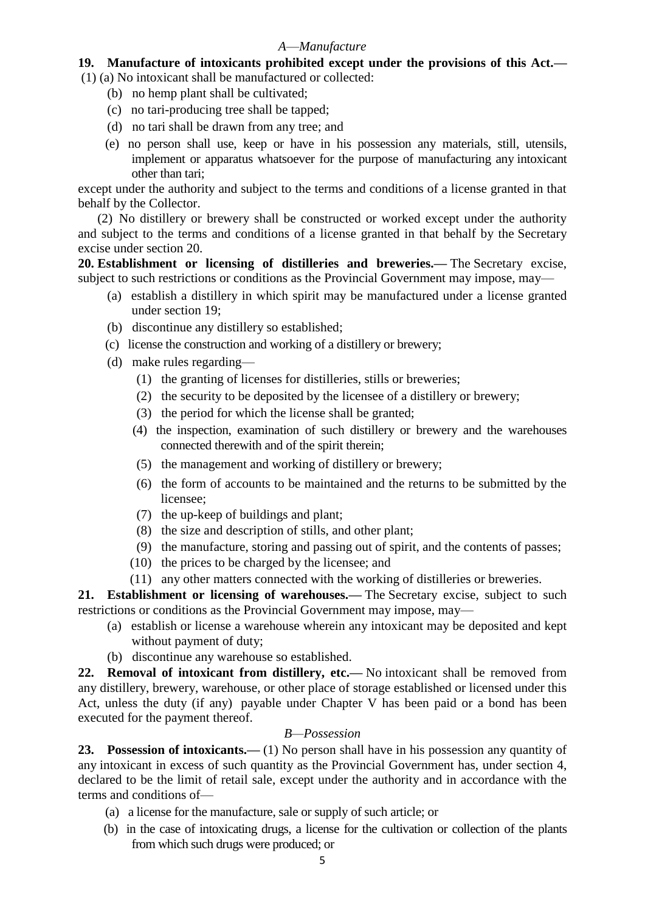### *A*—*Manufacture*

# **19. Manufacture of intoxicants prohibited except under the provisions of this Act.—**

(1) (a) No intoxicant shall be manufactured or collected:

- (b) no hemp plant shall be cultivated;
- (c) no tari-producing tree shall be tapped;
- (d) no tari shall be drawn from any tree; and
- (e) no person shall use, keep or have in his possession any materials, still, utensils, implement or apparatus whatsoever for the purpose of manufacturing any intoxicant other than tari;

except under the authority and subject to the terms and conditions of a license granted in that behalf by the Collector.

 (2) No distillery or brewery shall be constructed or worked except under the authority and subject to the terms and conditions of a license granted in that behalf by the Secretary excise under section 20.

**20. Establishment or licensing of distilleries and breweries.—** The Secretary excise, subject to such restrictions or conditions as the Provincial Government may impose, may—

- (a) establish a distillery in which spirit may be manufactured under a license granted under section 19;
- (b) discontinue any distillery so established;
- (c) license the construction and working of a distillery or brewery;
- (d) make rules regarding—
	- (1) the granting of licenses for distilleries, stills or breweries;
	- (2) the security to be deposited by the licensee of a distillery or brewery;
	- (3) the period for which the license shall be granted;
	- (4) the inspection, examination of such distillery or brewery and the warehouses connected therewith and of the spirit therein;
	- (5) the management and working of distillery or brewery;
	- (6) the form of accounts to be maintained and the returns to be submitted by the licensee;
	- (7) the up-keep of buildings and plant;
	- (8) the size and description of stills, and other plant;
	- (9) the manufacture, storing and passing out of spirit, and the contents of passes;
	- (10) the prices to be charged by the licensee; and
	- (11) any other matters connected with the working of distilleries or breweries.

**21. Establishment or licensing of warehouses.—** The Secretary excise, subject to such restrictions or conditions as the Provincial Government may impose, may—

- (a) establish or license a warehouse wherein any intoxicant may be deposited and kept without payment of duty;
- (b) discontinue any warehouse so established.

**22. Removal of intoxicant from distillery, etc.—** No intoxicant shall be removed from any distillery, brewery, warehouse, or other place of storage established or licensed under this Act, unless the duty (if any) payable under Chapter V has been paid or a bond has been executed for the payment thereof.

## *B—Possession*

23. Possession of intoxicants.—(1) No person shall have in his possession any quantity of any intoxicant in excess of such quantity as the Provincial Government has, under section 4, declared to be the limit of retail sale, except under the authority and in accordance with the terms and conditions of—

- (a) a license for the manufacture, sale or supply of such article; or
- (b) in the case of intoxicating drugs, a license for the cultivation or collection of the plants from which such drugs were produced; or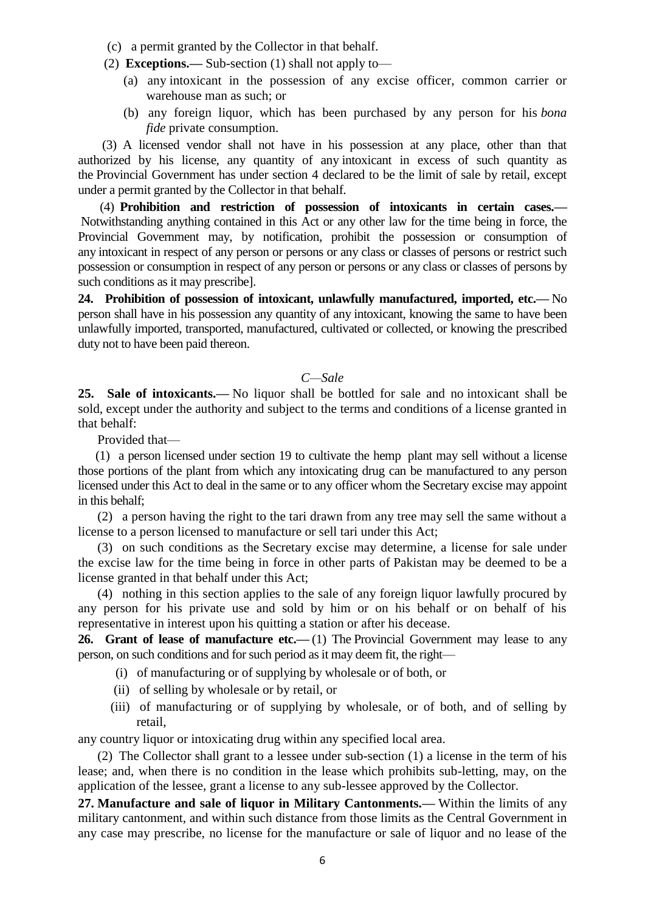- (c) a permit granted by the Collector in that behalf.
- (2) **Exceptions.—** Sub-section (1) shall not apply to—
	- (a) any intoxicant in the possession of any excise officer, common carrier or warehouse man as such; or
	- (b) any foreign liquor, which has been purchased by any person for his *bona fide* private consumption.

 (3) A licensed vendor shall not have in his possession at any place, other than that authorized by his license, any quantity of any intoxicant in excess of such quantity as the Provincial Government has under section 4 declared to be the limit of sale by retail, except under a permit granted by the Collector in that behalf.

 (4) **Prohibition and restriction of possession of intoxicants in certain cases.—** Notwithstanding anything contained in this Act or any other law for the time being in force, the Provincial Government may, by notification, prohibit the possession or consumption of any intoxicant in respect of any person or persons or any class or classes of persons or restrict such possession or consumption in respect of any person or persons or any class or classes of persons by such conditions as it may prescribe].

**24. Prohibition of possession of intoxicant, unlawfully manufactured, imported, etc.—** No person shall have in his possession any quantity of any intoxicant, knowing the same to have been unlawfully imported, transported, manufactured, cultivated or collected, or knowing the prescribed duty not to have been paid thereon.

#### *C—Sale*

**25. Sale of intoxicants.—** No liquor shall be bottled for sale and no intoxicant shall be sold, except under the authority and subject to the terms and conditions of a license granted in that behalf:

Provided that—

 (1) a person licensed under section 19 to cultivate the hemp plant may sell without a license those portions of the plant from which any intoxicating drug can be manufactured to any person licensed under this Act to deal in the same or to any officer whom the Secretary excise may appoint in this behalf;

 (2) a person having the right to the tari drawn from any tree may sell the same without a license to a person licensed to manufacture or sell tari under this Act;

 (3) on such conditions as the Secretary excise may determine, a license for sale under the excise law for the time being in force in other parts of Pakistan may be deemed to be a license granted in that behalf under this Act;

 (4) nothing in this section applies to the sale of any foreign liquor lawfully procured by any person for his private use and sold by him or on his behalf or on behalf of his representative in interest upon his quitting a station or after his decease.

**26. Grant of lease of manufacture etc.—** (1) The Provincial Government may lease to any person, on such conditions and for such period as it may deem fit, the right—

- (i) of manufacturing or of supplying by wholesale or of both, or
- (ii) of selling by wholesale or by retail, or
- (iii) of manufacturing or of supplying by wholesale, or of both, and of selling by retail,

any country liquor or intoxicating drug within any specified local area.

 (2) The Collector shall grant to a lessee under sub-section (1) a license in the term of his lease; and, when there is no condition in the lease which prohibits sub-letting, may, on the application of the lessee, grant a license to any sub-lessee approved by the Collector.

**27. Manufacture and sale of liquor in Military Cantonments.—** Within the limits of any military cantonment, and within such distance from those limits as the Central Government in any case may prescribe, no license for the manufacture or sale of liquor and no lease of the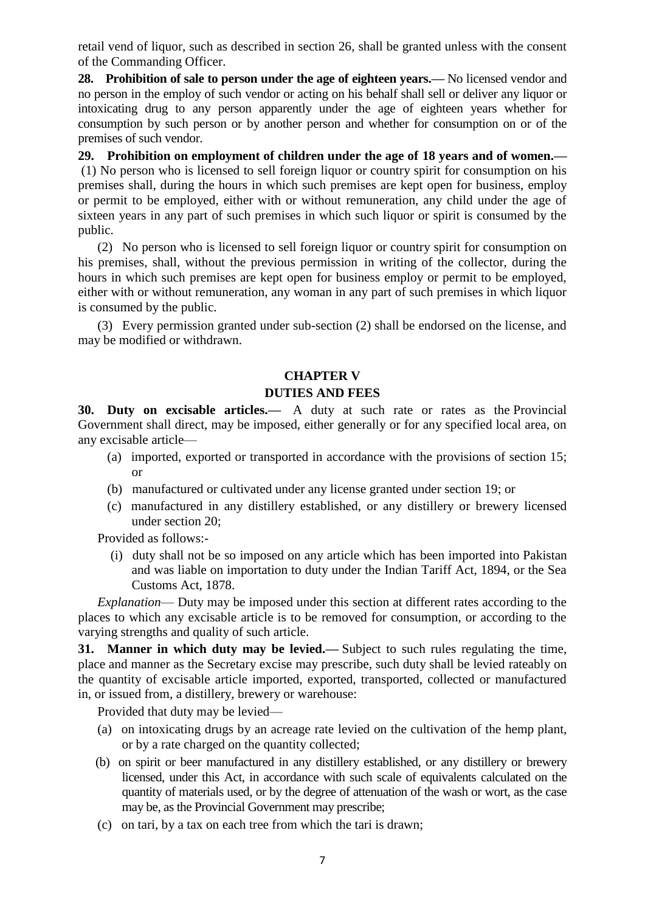retail vend of liquor, such as described in section 26, shall be granted unless with the consent of the Commanding Officer.

**28. Prohibition of sale to person under the age of eighteen years.—** No licensed vendor and no person in the employ of such vendor or acting on his behalf shall sell or deliver any liquor or intoxicating drug to any person apparently under the age of eighteen years whether for consumption by such person or by another person and whether for consumption on or of the premises of such vendor.

**29. Prohibition on employment of children under the age of 18 years and of women.—** (1) No person who is licensed to sell foreign liquor or country spirit for consumption on his premises shall, during the hours in which such premises are kept open for business, employ or permit to be employed, either with or without remuneration, any child under the age of sixteen years in any part of such premises in which such liquor or spirit is consumed by the public.

 (2) No person who is licensed to sell foreign liquor or country spirit for consumption on his premises, shall, without the previous permission in writing of the collector, during the hours in which such premises are kept open for business employ or permit to be employed, either with or without remuneration, any woman in any part of such premises in which liquor is consumed by the public.

 (3) Every permission granted under sub-section (2) shall be endorsed on the license, and may be modified or withdrawn.

## **CHAPTER V**

## **DUTIES AND FEES**

**30. Duty on excisable articles.—** A duty at such rate or rates as the Provincial Government shall direct, may be imposed, either generally or for any specified local area, on any excisable article—

- (a) imported, exported or transported in accordance with the provisions of section 15; or
- (b) manufactured or cultivated under any license granted under section 19; or
- (c) manufactured in any distillery established, or any distillery or brewery licensed under section 20;

Provided as follows:-

 (i) duty shall not be so imposed on any article which has been imported into Pakistan and was liable on importation to duty under the Indian Tariff Act, 1894, or the Sea Customs Act, 1878.

 *Explanation*— Duty may be imposed under this section at different rates according to the places to which any excisable article is to be removed for consumption, or according to the varying strengths and quality of such article.

**31. Manner in which duty may be levied.—** Subject to such rules regulating the time, place and manner as the Secretary excise may prescribe, such duty shall be levied rateably on the quantity of excisable article imported, exported, transported, collected or manufactured in, or issued from, a distillery, brewery or warehouse:

Provided that duty may be levied—

- (a) on intoxicating drugs by an acreage rate levied on the cultivation of the hemp plant, or by a rate charged on the quantity collected;
- (b) on spirit or beer manufactured in any distillery established, or any distillery or brewery licensed, under this Act, in accordance with such scale of equivalents calculated on the quantity of materials used, or by the degree of attenuation of the wash or wort, as the case may be, as the Provincial Government may prescribe;
- (c) on tari, by a tax on each tree from which the tari is drawn;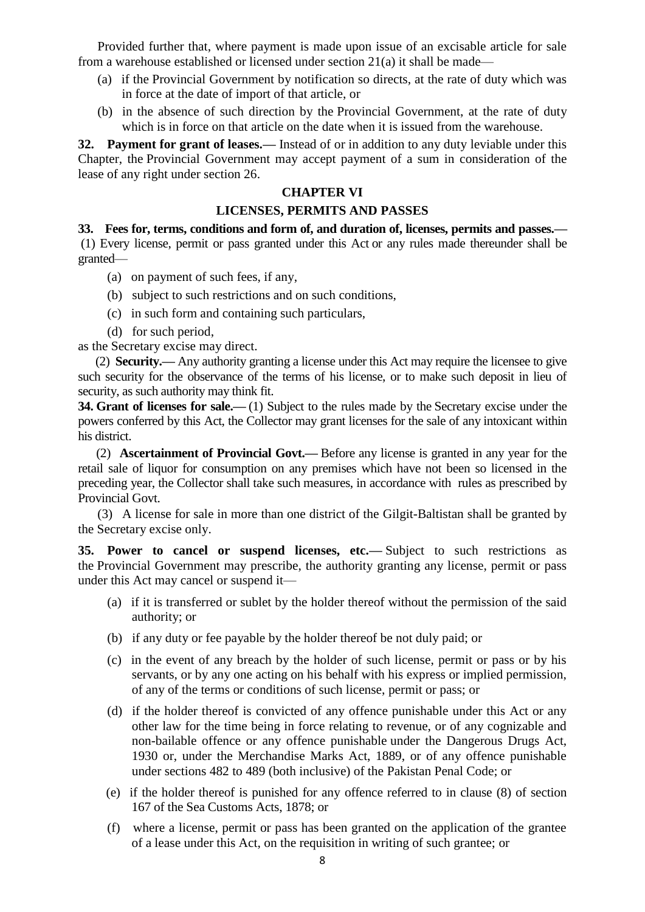Provided further that, where payment is made upon issue of an excisable article for sale from a warehouse established or licensed under section 21(a) it shall be made—

- (a) if the Provincial Government by notification so directs, at the rate of duty which was in force at the date of import of that article, or
- (b) in the absence of such direction by the Provincial Government, at the rate of duty which is in force on that article on the date when it is issued from the warehouse.

**32. Payment for grant of leases.—** Instead of or in addition to any duty leviable under this Chapter, the Provincial Government may accept payment of a sum in consideration of the lease of any right under section 26.

## **CHAPTER VI**

### **LICENSES, PERMITS AND PASSES**

**33. Fees for, terms, conditions and form of, and duration of, licenses, permits and passes.—** (1) Every license, permit or pass granted under this Act or any rules made thereunder shall be granted—

- (a) on payment of such fees, if any,
- (b) subject to such restrictions and on such conditions,
- (c) in such form and containing such particulars,
- (d) for such period,

as the Secretary excise may direct.

 (2) **Security.—** Any authority granting a license under this Act may require the licensee to give such security for the observance of the terms of his license, or to make such deposit in lieu of security, as such authority may think fit.

**34. Grant of licenses for sale.**—(1) Subject to the rules made by the Secretary excise under the powers conferred by this Act, the Collector may grant licenses for the sale of any intoxicant within his district.

 (2) **Ascertainment of Provincial Govt.—** Before any license is granted in any year for the retail sale of liquor for consumption on any premises which have not been so licensed in the preceding year, the Collector shall take such measures, in accordance with rules as prescribed by Provincial Govt.

 (3) A license for sale in more than one district of the Gilgit-Baltistan shall be granted by the Secretary excise only.

**35. Power to cancel or suspend licenses, etc.—** Subject to such restrictions as the Provincial Government may prescribe, the authority granting any license, permit or pass under this Act may cancel or suspend it—

- (a) if it is transferred or sublet by the holder thereof without the permission of the said authority; or
- (b) if any duty or fee payable by the holder thereof be not duly paid; or
- (c) in the event of any breach by the holder of such license, permit or pass or by his servants, or by any one acting on his behalf with his express or implied permission, of any of the terms or conditions of such license, permit or pass; or
- (d) if the holder thereof is convicted of any offence punishable under this Act or any other law for the time being in force relating to revenue, or of any cognizable and non-bailable offence or any offence punishable under the Dangerous Drugs Act, 1930 or, under the Merchandise Marks Act, 1889, or of any offence punishable under sections 482 to 489 (both inclusive) of the Pakistan Penal Code; or
- (e) if the holder thereof is punished for any offence referred to in clause (8) of section 167 of the Sea Customs Acts, 1878; or
- (f) where a license, permit or pass has been granted on the application of the grantee of a lease under this Act, on the requisition in writing of such grantee; or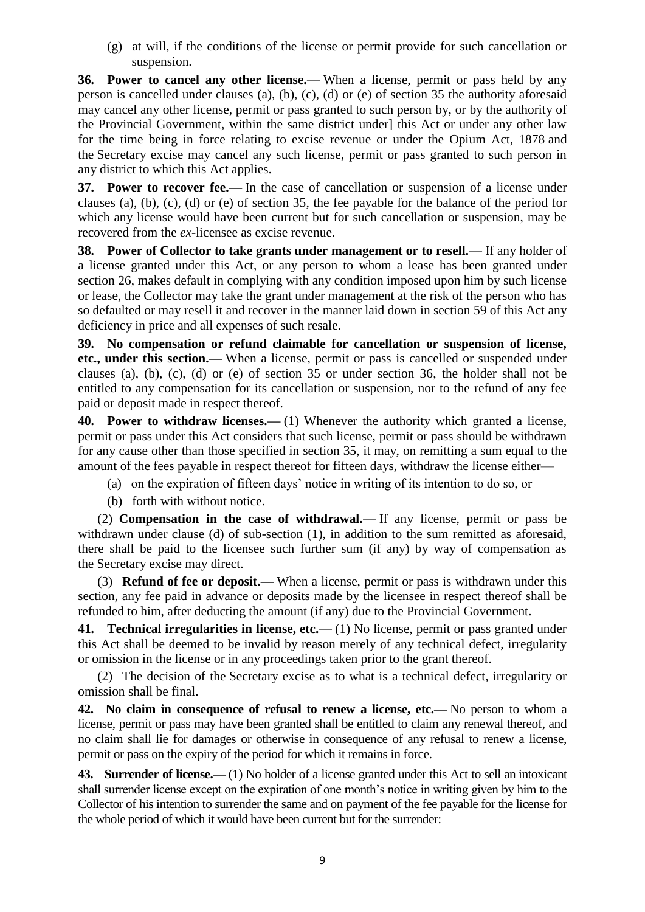(g) at will, if the conditions of the license or permit provide for such cancellation or suspension.

**36. Power to cancel any other license.—** When a license, permit or pass held by any person is cancelled under clauses (a), (b), (c), (d) or (e) of section 35 the authority aforesaid may cancel any other license, permit or pass granted to such person by, or by the authority of the Provincial Government, within the same district under] this Act or under any other law for the time being in force relating to excise revenue or under the Opium Act, 1878 and the Secretary excise may cancel any such license, permit or pass granted to such person in any district to which this Act applies.

**37. Power to recover fee.—** In the case of cancellation or suspension of a license under clauses (a), (b), (c), (d) or (e) of section 35, the fee payable for the balance of the period for which any license would have been current but for such cancellation or suspension, may be recovered from the *ex*-licensee as excise revenue.

**38. Power of Collector to take grants under management or to resell.—** If any holder of a license granted under this Act, or any person to whom a lease has been granted under section 26, makes default in complying with any condition imposed upon him by such license or lease, the Collector may take the grant under management at the risk of the person who has so defaulted or may resell it and recover in the manner laid down in section 59 of this Act any deficiency in price and all expenses of such resale.

**39. No compensation or refund claimable for cancellation or suspension of license, etc., under this section.—** When a license, permit or pass is cancelled or suspended under clauses (a), (b), (c), (d) or (e) of section 35 or under section 36, the holder shall not be entitled to any compensation for its cancellation or suspension, nor to the refund of any fee paid or deposit made in respect thereof.

**40. Power to withdraw licenses.—** (1) Whenever the authority which granted a license, permit or pass under this Act considers that such license, permit or pass should be withdrawn for any cause other than those specified in section 35, it may, on remitting a sum equal to the amount of the fees payable in respect thereof for fifteen days, withdraw the license either—

(a) on the expiration of fifteen days' notice in writing of its intention to do so, or

(b) forth with without notice.

 (2) **Compensation in the case of withdrawal.—** If any license, permit or pass be withdrawn under clause (d) of sub-section (1), in addition to the sum remitted as aforesaid, there shall be paid to the licensee such further sum (if any) by way of compensation as the Secretary excise may direct.

 (3) **Refund of fee or deposit.—** When a license, permit or pass is withdrawn under this section, any fee paid in advance or deposits made by the licensee in respect thereof shall be refunded to him, after deducting the amount (if any) due to the Provincial Government.

**41. Technical irregularities in license, etc.—** (1) No license, permit or pass granted under this Act shall be deemed to be invalid by reason merely of any technical defect, irregularity or omission in the license or in any proceedings taken prior to the grant thereof.

 (2) The decision of the Secretary excise as to what is a technical defect, irregularity or omission shall be final.

**42. No claim in consequence of refusal to renew a license, etc.—** No person to whom a license, permit or pass may have been granted shall be entitled to claim any renewal thereof, and no claim shall lie for damages or otherwise in consequence of any refusal to renew a license, permit or pass on the expiry of the period for which it remains in force.

**43. Surrender of license.—** (1) No holder of a license granted under this Act to sell an intoxicant shall surrender license except on the expiration of one month's notice in writing given by him to the Collector of his intention to surrender the same and on payment of the fee payable for the license for the whole period of which it would have been current but for the surrender: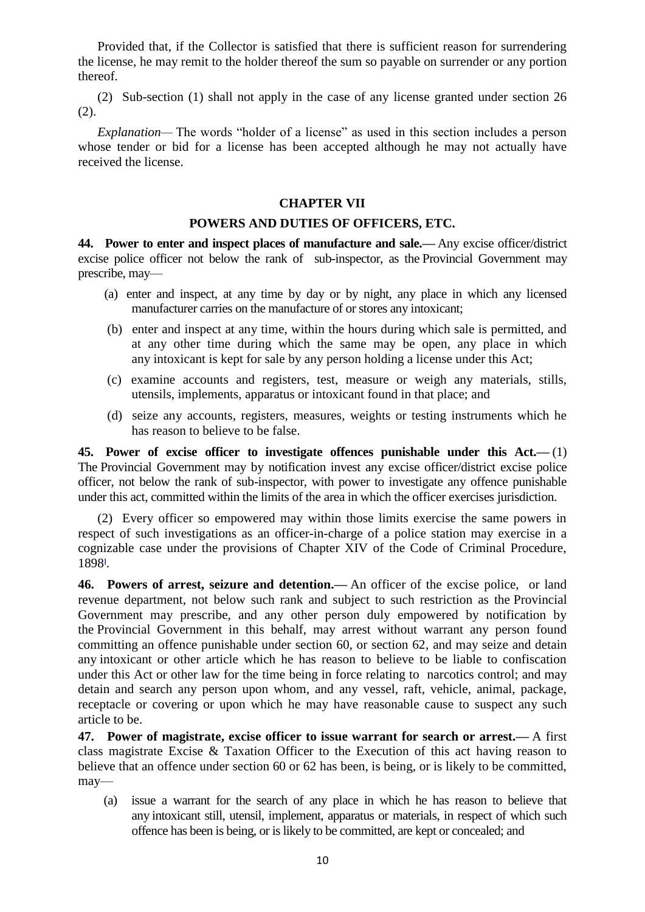Provided that, if the Collector is satisfied that there is sufficient reason for surrendering the license, he may remit to the holder thereof the sum so payable on surrender or any portion thereof.

 (2) Sub-section (1) shall not apply in the case of any license granted under section 26 (2).

*Explanation*— The words "holder of a license" as used in this section includes a person whose tender or bid for a license has been accepted although he may not actually have received the license.

#### **CHAPTER VII**

#### **POWERS AND DUTIES OF OFFICERS, ETC.**

**44. Power to enter and inspect places of manufacture and sale.—** Any excise officer/district excise police officer not below the rank of sub-inspector, as the Provincial Government may prescribe, may—

- (a) enter and inspect, at any time by day or by night, any place in which any licensed manufacturer carries on the manufacture of or stores any intoxicant;
- (b) enter and inspect at any time, within the hours during which sale is permitted, and at any other time during which the same may be open, any place in which any intoxicant is kept for sale by any person holding a license under this Act;
- (c) examine accounts and registers, test, measure or weigh any materials, stills, utensils, implements, apparatus or intoxicant found in that place; and
- (d) seize any accounts, registers, measures, weights or testing instruments which he has reason to believe to be false.

**45. Power of excise officer to investigate offences punishable under this Act.—** (1) The Provincial Government may by notification invest any excise officer/district excise police officer, not below the rank of sub-inspector, with power to investigate any offence punishable under this act, committed within the limits of the area in which the officer exercises jurisdiction.

 (2) Every officer so empowered may within those limits exercise the same powers in respect of such investigations as an officer-in-charge of a police station may exercise in a cognizable case under the provisions of Chapter XIV of the Code of Criminal Procedure, 189[8](http://punjablaws.gov.pk/laws/24.html#_ftn142)**]** .

**46. Powers of arrest, seizure and detention.—** An officer of the excise police, or land revenue department, not below such rank and subject to such restriction as the Provincial Government may prescribe, and any other person duly empowered by notification by the Provincial Government in this behalf, may arrest without warrant any person found committing an offence punishable under section 60, or section 62, and may seize and detain any intoxicant or other article which he has reason to believe to be liable to confiscation under this Act or other law for the time being in force relating to narcotics control; and may detain and search any person upon whom, and any vessel, raft, vehicle, animal, package, receptacle or covering or upon which he may have reasonable cause to suspect any such article to be.

**47. Power of magistrate, excise officer to issue warrant for search or arrest.—** A first class magistrate Excise & Taxation Officer to the Execution of this act having reason to believe that an offence under section 60 or 62 has been, is being, or is likely to be committed, may—

 (a) issue a warrant for the search of any place in which he has reason to believe that any intoxicant still, utensil, implement, apparatus or materials, in respect of which such offence has been is being, or is likely to be committed, are kept or concealed; and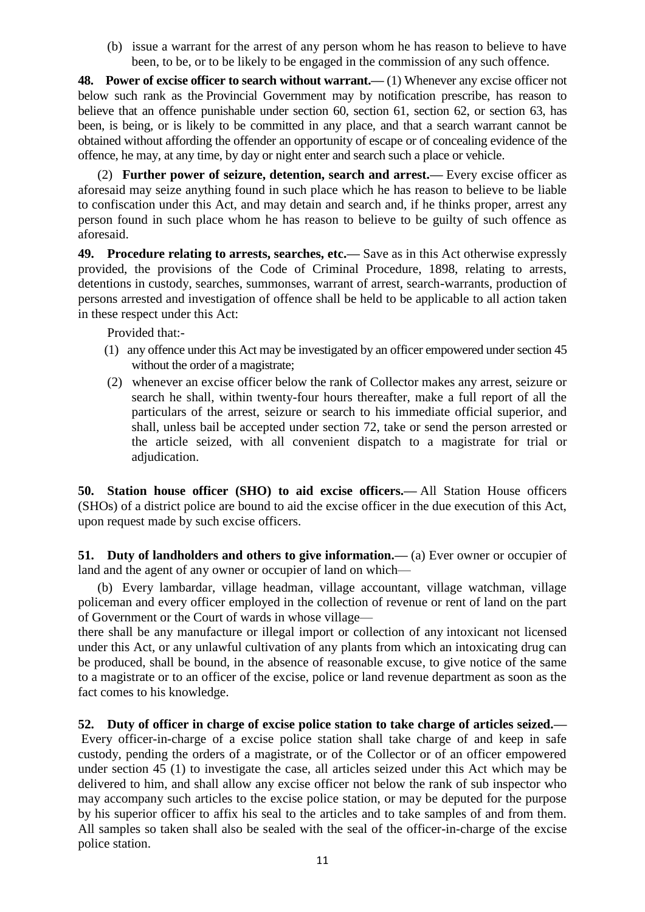(b) issue a warrant for the arrest of any person whom he has reason to believe to have been, to be, or to be likely to be engaged in the commission of any such offence.

**48. Power of excise officer to search without warrant.—** (1) Whenever any excise officer not below such rank as the Provincial Government may by notification prescribe, has reason to believe that an offence punishable under section 60, section 61, section 62, or section 63, has been, is being, or is likely to be committed in any place, and that a search warrant cannot be obtained without affording the offender an opportunity of escape or of concealing evidence of the offence, he may, at any time, by day or night enter and search such a place or vehicle.

 (2) **Further power of seizure, detention, search and arrest.—** Every excise officer as aforesaid may seize anything found in such place which he has reason to believe to be liable to confiscation under this Act, and may detain and search and, if he thinks proper, arrest any person found in such place whom he has reason to believe to be guilty of such offence as aforesaid.

**49. Procedure relating to arrests, searches, etc.—** Save as in this Act otherwise expressly provided, the provisions of the Code of Criminal Procedure, 1898, relating to arrests, detentions in custody, searches, summonses, warrant of arrest, search-warrants, production of persons arrested and investigation of offence shall be held to be applicable to all action taken in these respect under this Act:

Provided that:-

- (1) any offence under this Act may be investigated by an officer empowered under section 45 without the order of a magistrate;
- (2) whenever an excise officer below the rank of Collector makes any arrest, seizure or search he shall, within twenty-four hours thereafter, make a full report of all the particulars of the arrest, seizure or search to his immediate official superior, and shall, unless bail be accepted under section 72, take or send the person arrested or the article seized, with all convenient dispatch to a magistrate for trial or adjudication.

**50. Station house officer (SHO) to aid excise officers.—** All Station House officers (SHOs) of a district police are bound to aid the excise officer in the due execution of this Act, upon request made by such excise officers.

**51. Duty of landholders and others to give information.—** (a) Ever owner or occupier of land and the agent of any owner or occupier of land on which—

 (b) Every lambardar, village headman, village accountant, village watchman, village policeman and every officer employed in the collection of revenue or rent of land on the part of Government or the Court of wards in whose village—

there shall be any manufacture or illegal import or collection of any intoxicant not licensed under this Act, or any unlawful cultivation of any plants from which an intoxicating drug can be produced, shall be bound, in the absence of reasonable excuse, to give notice of the same to a magistrate or to an officer of the excise, police or land revenue department as soon as the fact comes to his knowledge.

**52. Duty of officer in charge of excise police station to take charge of articles seized.—** Every officer-in-charge of a excise police station shall take charge of and keep in safe custody, pending the orders of a magistrate, or of the Collector or of an officer empowered under section 45 (1) to investigate the case, all articles seized under this Act which may be delivered to him, and shall allow any excise officer not below the rank of sub inspector who may accompany such articles to the excise police station, or may be deputed for the purpose by his superior officer to affix his seal to the articles and to take samples of and from them. All samples so taken shall also be sealed with the seal of the officer-in-charge of the excise police station.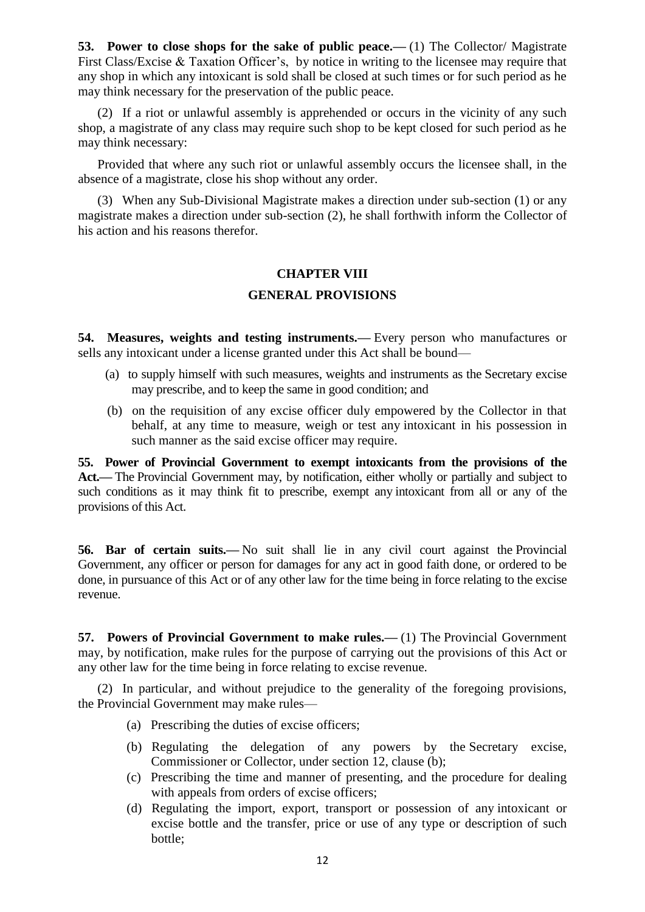**53. Power to close shops for the sake of public peace.—** (1) The Collector/ Magistrate First Class/Excise & Taxation Officer's, by notice in writing to the licensee may require that any shop in which any intoxicant is sold shall be closed at such times or for such period as he may think necessary for the preservation of the public peace.

 (2) If a riot or unlawful assembly is apprehended or occurs in the vicinity of any such shop, a magistrate of any class may require such shop to be kept closed for such period as he may think necessary:

 Provided that where any such riot or unlawful assembly occurs the licensee shall, in the absence of a magistrate, close his shop without any order.

 (3) When any Sub-Divisional Magistrate makes a direction under sub-section (1) or any magistrate makes a direction under sub-section (2), he shall forthwith inform the Collector of his action and his reasons therefor.

## **CHAPTER VIII**

## **GENERAL PROVISIONS**

**54. Measures, weights and testing instruments.—** Every person who manufactures or sells any intoxicant under a license granted under this Act shall be bound—

- (a) to supply himself with such measures, weights and instruments as the Secretary excise may prescribe, and to keep the same in good condition; and
- (b) on the requisition of any excise officer duly empowered by the Collector in that behalf, at any time to measure, weigh or test any intoxicant in his possession in such manner as the said excise officer may require.

**55. Power of Provincial Government to exempt intoxicants from the provisions of the Act.—** The Provincial Government may, by notification, either wholly or partially and subject to such conditions as it may think fit to prescribe, exempt any intoxicant from all or any of the provisions of this Act.

**56. Bar of certain suits.—** No suit shall lie in any civil court against the Provincial Government, any officer or person for damages for any act in good faith done, or ordered to be done, in pursuance of this Act or of any other law for the time being in force relating to the excise revenue.

**57. Powers of Provincial Government to make rules.—** (1) The Provincial Government may, by notification, make rules for the purpose of carrying out the provisions of this Act or any other law for the time being in force relating to excise revenue.

 (2) In particular, and without prejudice to the generality of the foregoing provisions, the Provincial Government may make rules—

- (a) Prescribing the duties of excise officers;
- (b) Regulating the delegation of any powers by the Secretary excise, Commissioner or Collector, under section 12, clause (b);
- (c) Prescribing the time and manner of presenting, and the procedure for dealing with appeals from orders of excise officers;
- (d) Regulating the import, export, transport or possession of any intoxicant or excise bottle and the transfer, price or use of any type or description of such bottle;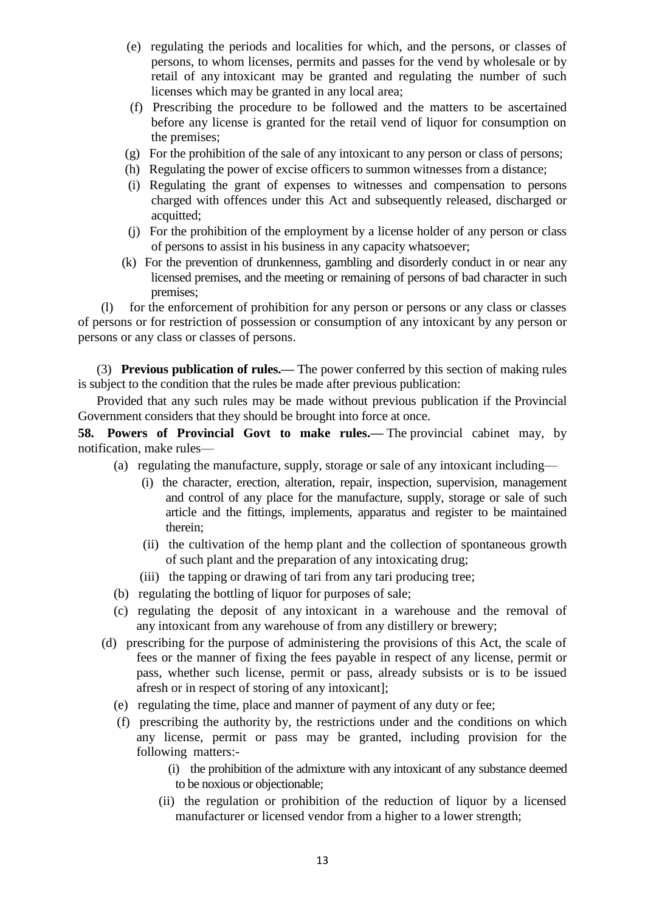- (e) regulating the periods and localities for which, and the persons, or classes of persons, to whom licenses, permits and passes for the vend by wholesale or by retail of any intoxicant may be granted and regulating the number of such licenses which may be granted in any local area;
- (f) Prescribing the procedure to be followed and the matters to be ascertained before any license is granted for the retail vend of liquor for consumption on the premises;
- (g) For the prohibition of the sale of any intoxicant to any person or class of persons;
- (h) Regulating the power of excise officers to summon witnesses from a distance;
- (i) Regulating the grant of expenses to witnesses and compensation to persons charged with offences under this Act and subsequently released, discharged or acquitted;
- (j) For the prohibition of the employment by a license holder of any person or class of persons to assist in his business in any capacity whatsoever;
- (k) For the prevention of drunkenness, gambling and disorderly conduct in or near any licensed premises, and the meeting or remaining of persons of bad character in such premises;

 (l) for the enforcement of prohibition for any person or persons or any class or classes of persons or for restriction of possession or consumption of any intoxicant by any person or persons or any class or classes of persons.

 (3) **Previous publication of rules.—** The power conferred by this section of making rules is subject to the condition that the rules be made after previous publication:

 Provided that any such rules may be made without previous publication if the Provincial Government considers that they should be brought into force at once.

**58. Powers of Provincial Govt to make rules.—** The provincial cabinet may, by notification, make rules—

- (a) regulating the manufacture, supply, storage or sale of any intoxicant including—
	- (i) the character, erection, alteration, repair, inspection, supervision, management and control of any place for the manufacture, supply, storage or sale of such article and the fittings, implements, apparatus and register to be maintained therein;
	- (ii) the cultivation of the hemp plant and the collection of spontaneous growth of such plant and the preparation of any intoxicating drug;
	- (iii) the tapping or drawing of tari from any tari producing tree;
- (b) regulating the bottling of liquor for purposes of sale;
- (c) regulating the deposit of any intoxicant in a warehouse and the removal of any intoxicant from any warehouse of from any distillery or brewery;
- (d) prescribing for the purpose of administering the provisions of this Act, the scale of fees or the manner of fixing the fees payable in respect of any license, permit or pass, whether such license, permit or pass, already subsists or is to be issued afresh or in respect of storing of any intoxicant];
	- (e) regulating the time, place and manner of payment of any duty or fee;
	- (f) prescribing the authority by, the restrictions under and the conditions on which any license, permit or pass may be granted, including provision for the following matters:-
		- (i) the prohibition of the admixture with any intoxicant of any substance deemed to be noxious or objectionable;
		- (ii) the regulation or prohibition of the reduction of liquor by a licensed manufacturer or licensed vendor from a higher to a lower strength;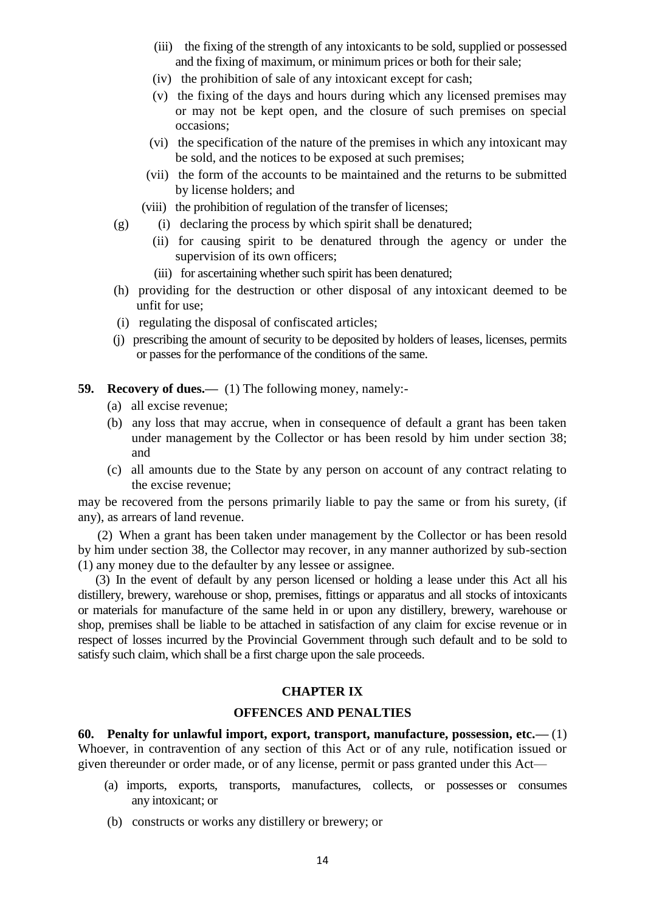- (iii) the fixing of the strength of any intoxicants to be sold, supplied or possessed and the fixing of maximum, or minimum prices or both for their sale;
- (iv) the prohibition of sale of any intoxicant except for cash;
- (v) the fixing of the days and hours during which any licensed premises may or may not be kept open, and the closure of such premises on special occasions;
- (vi) the specification of the nature of the premises in which any intoxicant may be sold, and the notices to be exposed at such premises;
- (vii) the form of the accounts to be maintained and the returns to be submitted by license holders; and
- (viii) the prohibition of regulation of the transfer of licenses;
- $(g)$  (i) declaring the process by which spirit shall be denatured;
	- (ii) for causing spirit to be denatured through the agency or under the supervision of its own officers;
	- (iii) for ascertaining whether such spirit has been denatured;
- (h) providing for the destruction or other disposal of any intoxicant deemed to be unfit for use;
- (i) regulating the disposal of confiscated articles;
- (j) prescribing the amount of security to be deposited by holders of leases, licenses, permits or passes for the performance of the conditions of the same.

## **59. Recovery of dues.—** (1) The following money, namely:-

- (a) all excise revenue;
- (b) any loss that may accrue, when in consequence of default a grant has been taken under management by the Collector or has been resold by him under section 38; and
- (c) all amounts due to the State by any person on account of any contract relating to the excise revenue;

may be recovered from the persons primarily liable to pay the same or from his surety, (if any), as arrears of land revenue.

 (2) When a grant has been taken under management by the Collector or has been resold by him under section 38, the Collector may recover, in any manner authorized by sub-section (1) any money due to the defaulter by any lessee or assignee.

 (3) In the event of default by any person licensed or holding a lease under this Act all his distillery, brewery, warehouse or shop, premises, fittings or apparatus and all stocks of intoxicants or materials for manufacture of the same held in or upon any distillery, brewery, warehouse or shop, premises shall be liable to be attached in satisfaction of any claim for excise revenue or in respect of losses incurred by the Provincial Government through such default and to be sold to satisfy such claim, which shall be a first charge upon the sale proceeds.

#### **CHAPTER IX**

## **OFFENCES AND PENALTIES**

**60. Penalty for unlawful import, export, transport, manufacture, possession, etc.—** (1) Whoever, in contravention of any section of this Act or of any rule, notification issued or given thereunder or order made, or of any license, permit or pass granted under this Act—

- (a) imports, exports, transports, manufactures, collects, or possesses or consumes any intoxicant; or
- (b) constructs or works any distillery or brewery; or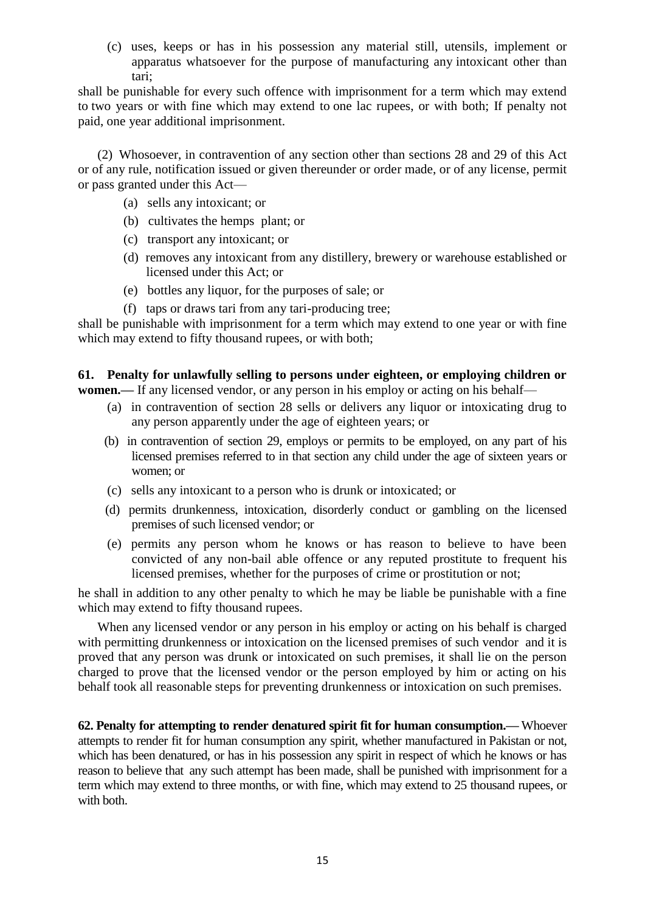(c) uses, keeps or has in his possession any material still, utensils, implement or apparatus whatsoever for the purpose of manufacturing any intoxicant other than tari;

shall be punishable for every such offence with imprisonment for a term which may extend to two years or with fine which may extend to one lac rupees, or with both; If penalty not paid, one year additional imprisonment.

 (2) Whosoever, in contravention of any section other than sections 28 and 29 of this Act or of any rule, notification issued or given thereunder or order made, or of any license, permit or pass granted under this Act—

- (a) sells any intoxicant; or
- (b) cultivates the hemps plant; or
- (c) transport any intoxicant; or
- (d) removes any intoxicant from any distillery, brewery or warehouse established or licensed under this Act; or
- (e) bottles any liquor, for the purposes of sale; or
- (f) taps or draws tari from any tari-producing tree;

shall be punishable with imprisonment for a term which may extend to one year or with fine which may extend to fifty thousand rupees, or with both;

**61. Penalty for unlawfully selling to persons under eighteen, or employing children or** 

**women.—** If any licensed vendor, or any person in his employ or acting on his behalf—

- (a) in contravention of section 28 sells or delivers any liquor or intoxicating drug to any person apparently under the age of eighteen years; or
- (b) in contravention of section 29, employs or permits to be employed, on any part of his licensed premises referred to in that section any child under the age of sixteen years or women; or
- (c) sells any intoxicant to a person who is drunk or intoxicated; or
- (d) permits drunkenness, intoxication, disorderly conduct or gambling on the licensed premises of such licensed vendor; or
- (e) permits any person whom he knows or has reason to believe to have been convicted of any non-bail able offence or any reputed prostitute to frequent his licensed premises, whether for the purposes of crime or prostitution or not;

he shall in addition to any other penalty to which he may be liable be punishable with a fine which may extend to fifty thousand rupees.

 When any licensed vendor or any person in his employ or acting on his behalf is charged with permitting drunkenness or intoxication on the licensed premises of such vendor and it is proved that any person was drunk or intoxicated on such premises, it shall lie on the person charged to prove that the licensed vendor or the person employed by him or acting on his behalf took all reasonable steps for preventing drunkenness or intoxication on such premises.

**62. Penalty for attempting to render denatured spirit fit for human consumption.—** Whoever attempts to render fit for human consumption any spirit, whether manufactured in Pakistan or not, which has been denatured, or has in his possession any spirit in respect of which he knows or has reason to believe that any such attempt has been made, shall be punished with imprisonment for a term which may extend to three months, or with fine, which may extend to 25 thousand rupees, or with both.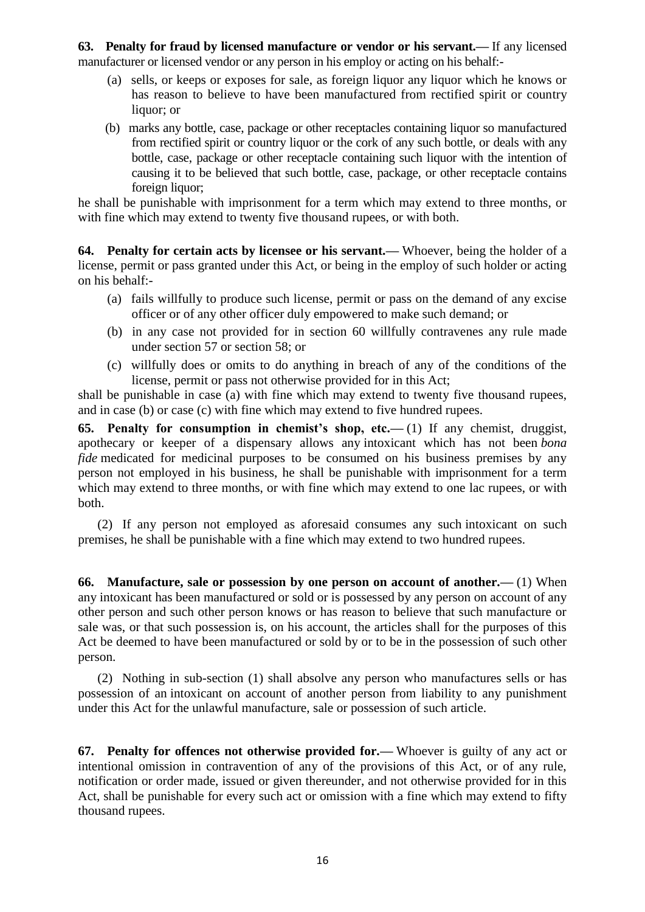**63. Penalty for fraud by licensed manufacture or vendor or his servant.—** If any licensed manufacturer or licensed vendor or any person in his employ or acting on his behalf:-

- (a) sells, or keeps or exposes for sale, as foreign liquor any liquor which he knows or has reason to believe to have been manufactured from rectified spirit or country liquor; or
- (b) marks any bottle, case, package or other receptacles containing liquor so manufactured from rectified spirit or country liquor or the cork of any such bottle, or deals with any bottle, case, package or other receptacle containing such liquor with the intention of causing it to be believed that such bottle, case, package, or other receptacle contains foreign liquor:

he shall be punishable with imprisonment for a term which may extend to three months, or with fine which may extend to twenty five thousand rupees, or with both.

**64. Penalty for certain acts by licensee or his servant.—** Whoever, being the holder of a license, permit or pass granted under this Act, or being in the employ of such holder or acting on his behalf:-

- (a) fails willfully to produce such license, permit or pass on the demand of any excise officer or of any other officer duly empowered to make such demand; or
- (b) in any case not provided for in section 60 willfully contravenes any rule made under section 57 or section 58; or
- (c) willfully does or omits to do anything in breach of any of the conditions of the license, permit or pass not otherwise provided for in this Act;

shall be punishable in case (a) with fine which may extend to twenty five thousand rupees, and in case (b) or case (c) with fine which may extend to five hundred rupees.

**65. Penalty for consumption in chemist's shop, etc.—** (1) If any chemist, druggist, apothecary or keeper of a dispensary allows any intoxicant which has not been *bona fide* medicated for medicinal purposes to be consumed on his business premises by any person not employed in his business, he shall be punishable with imprisonment for a term which may extend to three months, or with fine which may extend to one lac rupees, or with both.

 (2) If any person not employed as aforesaid consumes any such intoxicant on such premises, he shall be punishable with a fine which may extend to two hundred rupees.

**66. Manufacture, sale or possession by one person on account of another.—** (1) When any intoxicant has been manufactured or sold or is possessed by any person on account of any other person and such other person knows or has reason to believe that such manufacture or sale was, or that such possession is, on his account, the articles shall for the purposes of this Act be deemed to have been manufactured or sold by or to be in the possession of such other person.

 (2) Nothing in sub-section (1) shall absolve any person who manufactures sells or has possession of an intoxicant on account of another person from liability to any punishment under this Act for the unlawful manufacture, sale or possession of such article.

**67. Penalty for offences not otherwise provided for.—** Whoever is guilty of any act or intentional omission in contravention of any of the provisions of this Act, or of any rule, notification or order made, issued or given thereunder, and not otherwise provided for in this Act, shall be punishable for every such act or omission with a fine which may extend to fifty thousand rupees.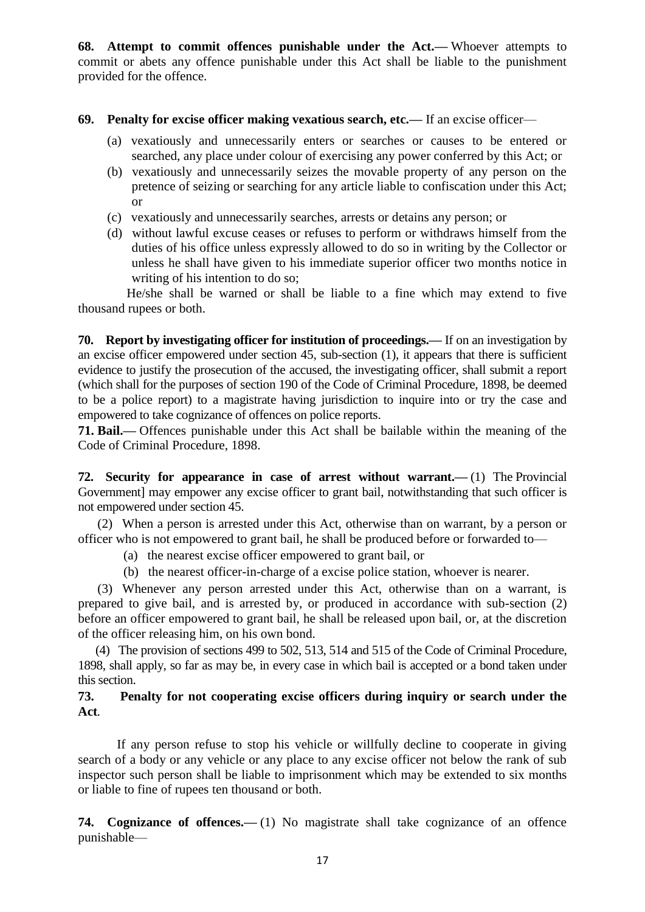**68. Attempt to commit offences punishable under the Act.—** Whoever attempts to commit or abets any offence punishable under this Act shall be liable to the punishment provided for the offence.

## **69. Penalty for excise officer making vexatious search, etc.—** If an excise officer—

- (a) vexatiously and unnecessarily enters or searches or causes to be entered or searched, any place under colour of exercising any power conferred by this Act; or
- (b) vexatiously and unnecessarily seizes the movable property of any person on the pretence of seizing or searching for any article liable to confiscation under this Act; or
- (c) vexatiously and unnecessarily searches, arrests or detains any person; or
- (d) without lawful excuse ceases or refuses to perform or withdraws himself from the duties of his office unless expressly allowed to do so in writing by the Collector or unless he shall have given to his immediate superior officer two months notice in writing of his intention to do so;

 He/she shall be warned or shall be liable to a fine which may extend to five thousand rupees or both.

**70. Report by investigating officer for institution of proceedings.—** If on an investigation by an excise officer empowered under section 45, sub-section (1), it appears that there is sufficient evidence to justify the prosecution of the accused, the investigating officer, shall submit a report (which shall for the purposes of section 190 of the Code of Criminal Procedure, 1898, be deemed to be a police report) to a magistrate having jurisdiction to inquire into or try the case and empowered to take cognizance of offences on police reports.

**71. Bail.—** Offences punishable under this Act shall be bailable within the meaning of the Code of Criminal Procedure, 1898.

**72. Security for appearance in case of arrest without warrant.—** (1) The Provincial Government] may empower any excise officer to grant bail, notwithstanding that such officer is not empowered under section 45.

 (2) When a person is arrested under this Act, otherwise than on warrant, by a person or officer who is not empowered to grant bail, he shall be produced before or forwarded to—

- (a) the nearest excise officer empowered to grant bail, or
- (b) the nearest officer-in-charge of a excise police station, whoever is nearer.

 (3) Whenever any person arrested under this Act, otherwise than on a warrant, is prepared to give bail, and is arrested by, or produced in accordance with sub-section (2) before an officer empowered to grant bail, he shall be released upon bail, or, at the discretion of the officer releasing him, on his own bond.

 (4) The provision of sections 499 to 502, 513, 514 and 515 of the Code of Criminal Procedure, 1898, shall apply, so far as may be, in every case in which bail is accepted or a bond taken under this section.

## **73. Penalty for not cooperating excise officers during inquiry or search under the Act***.*

If any person refuse to stop his vehicle or willfully decline to cooperate in giving search of a body or any vehicle or any place to any excise officer not below the rank of sub inspector such person shall be liable to imprisonment which may be extended to six months or liable to fine of rupees ten thousand or both.

**74. Cognizance of offences.—** (1) No magistrate shall take cognizance of an offence punishable—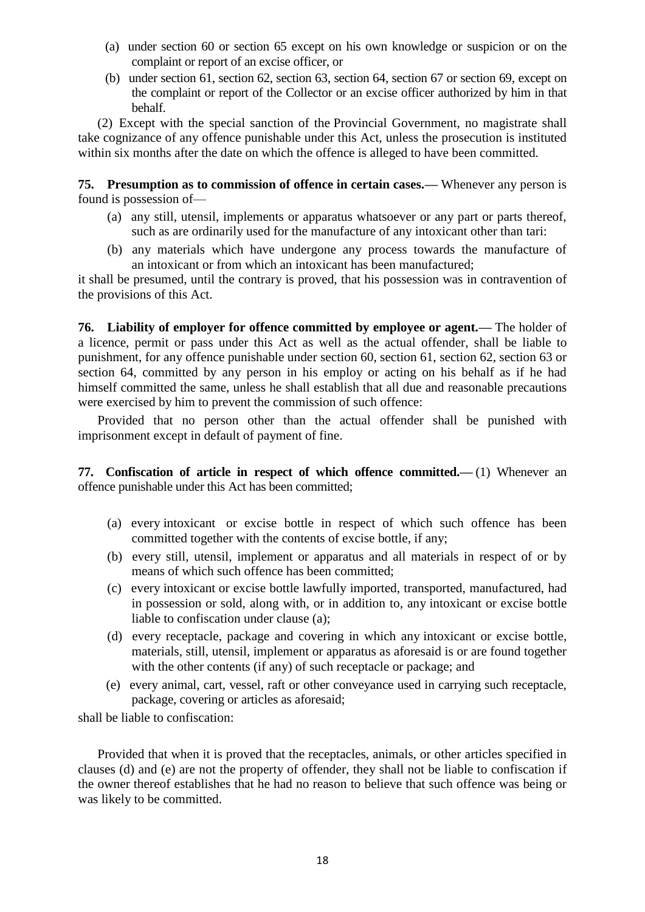- (a) under section 60 or section 65 except on his own knowledge or suspicion or on the complaint or report of an excise officer, or
- (b) under section 61, section 62, section 63, section 64, section 67 or section 69, except on the complaint or report of the Collector or an excise officer authorized by him in that behalf.

 (2) Except with the special sanction of the Provincial Government, no magistrate shall take cognizance of any offence punishable under this Act, unless the prosecution is instituted within six months after the date on which the offence is alleged to have been committed.

**75. Presumption as to commission of offence in certain cases.—** Whenever any person is found is possession of—

- (a) any still, utensil, implements or apparatus whatsoever or any part or parts thereof, such as are ordinarily used for the manufacture of any intoxicant other than tari:
- (b) any materials which have undergone any process towards the manufacture of an intoxicant or from which an intoxicant has been manufactured;

it shall be presumed, until the contrary is proved, that his possession was in contravention of the provisions of this Act.

**76. Liability of employer for offence committed by employee or agent.—** The holder of a licence, permit or pass under this Act as well as the actual offender, shall be liable to punishment, for any offence punishable under section 60, section 61, section 62, section 63 or section 64, committed by any person in his employ or acting on his behalf as if he had himself committed the same, unless he shall establish that all due and reasonable precautions were exercised by him to prevent the commission of such offence:

 Provided that no person other than the actual offender shall be punished with imprisonment except in default of payment of fine.

**77. Confiscation of article in respect of which offence committed.—** (1) Whenever an offence punishable under this Act has been committed;

- (a) every intoxicant or excise bottle in respect of which such offence has been committed together with the contents of excise bottle, if any;
- (b) every still, utensil, implement or apparatus and all materials in respect of or by means of which such offence has been committed;
- (c) every intoxicant or excise bottle lawfully imported, transported, manufactured, had in possession or sold, along with, or in addition to, any intoxicant or excise bottle liable to confiscation under clause (a);
- (d) every receptacle, package and covering in which any intoxicant or excise bottle, materials, still, utensil, implement or apparatus as aforesaid is or are found together with the other contents (if any) of such receptacle or package; and
- (e) every animal, cart, vessel, raft or other conveyance used in carrying such receptacle, package, covering or articles as aforesaid;

shall be liable to confiscation:

 Provided that when it is proved that the receptacles, animals, or other articles specified in clauses (d) and (e) are not the property of offender, they shall not be liable to confiscation if the owner thereof establishes that he had no reason to believe that such offence was being or was likely to be committed.